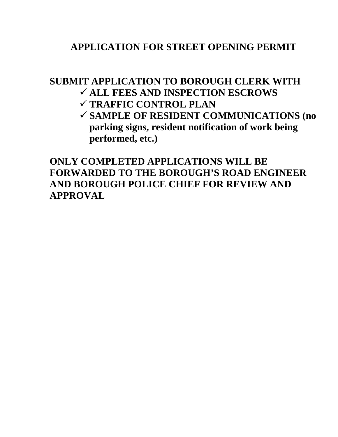## **APPLICATION FOR STREET OPENING PERMIT**

## **SUBMIT APPLICATION TO BOROUGH CLERK WITH ALL FEES AND INSPECTION ESCROWS**

- **TRAFFIC CONTROL PLAN**
- **SAMPLE OF RESIDENT COMMUNICATIONS (no parking signs, resident notification of work being performed, etc.)**

**ONLY COMPLETED APPLICATIONS WILL BE FORWARDED TO THE BOROUGH'S ROAD ENGINEER AND BOROUGH POLICE CHIEF FOR REVIEW AND APPROVAL**